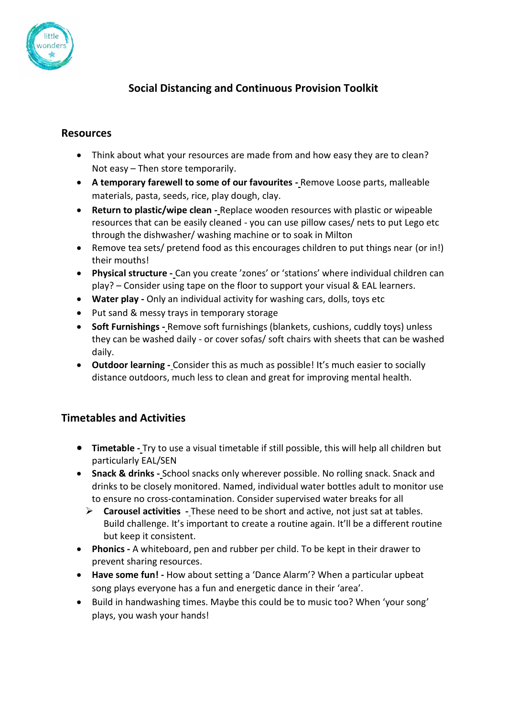

## **Social Distancing and Continuous Provision Toolkit**

## **Resources**

- Think about what your resources are made from and how easy they are to clean? Not easy – Then store temporarily.
- **A temporary farewell to some of our favourites -** Remove Loose parts, malleable materials, pasta, seeds, rice, play dough, clay.
- **Return to plastic/wipe clean -** Replace wooden resources with plastic or wipeable resources that can be easily cleaned - you can use pillow cases/ nets to put Lego etc through the dishwasher/ washing machine or to soak in Milton
- Remove tea sets/ pretend food as this encourages children to put things near (or in!) their mouths!
- **Physical structure -** Can you create 'zones' or 'stations' where individual children can play? – Consider using tape on the floor to support your visual & EAL learners.
- **Water play -** Only an individual activity for washing cars, dolls, toys etc
- Put sand & messy trays in temporary storage
- **Soft Furnishings -** Remove soft furnishings (blankets, cushions, cuddly toys) unless they can be washed daily - or cover sofas/ soft chairs with sheets that can be washed daily.
- **Outdoor learning -** Consider this as much as possible! It's much easier to socially distance outdoors, much less to clean and great for improving mental health.

## **Timetables and Activities**

- **Timetable -** Try to use a visual timetable if still possible, this will help all children but particularly EAL/SEN
- **Snack & drinks -** School snacks only wherever possible. No rolling snack. Snack and drinks to be closely monitored. Named, individual water bottles adult to monitor use to ensure no cross-contamination. Consider supervised water breaks for all
	- ➢ **Carousel activities -** These need to be short and active, not just sat at tables. Build challenge. It's important to create a routine again. It'll be a different routine but keep it consistent.
- **Phonics -** A whiteboard, pen and rubber per child. To be kept in their drawer to prevent sharing resources.
- **Have some fun! -** How about setting a 'Dance Alarm'? When a particular upbeat song plays everyone has a fun and energetic dance in their 'area'.
- Build in handwashing times. Maybe this could be to music too? When 'your song' plays, you wash your hands!